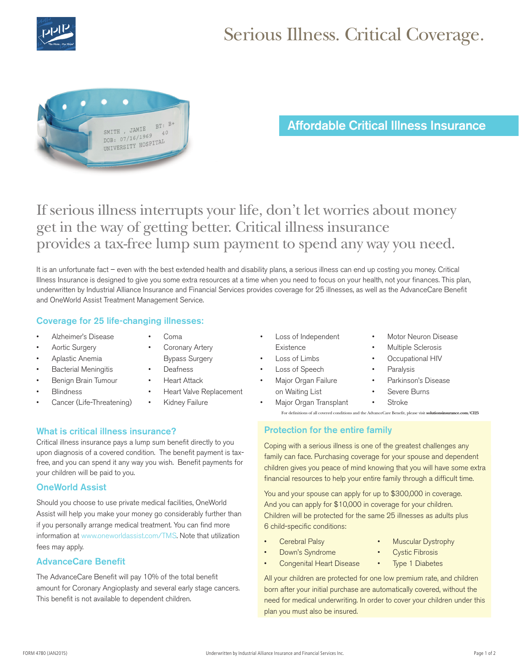

# Serious Illness. Critical Coverage.



Affordable Critical Illness Insurance

## If serious illness interrupts your life, don't let worries about money get in the way of getting better. Critical illness insurance provides a tax-free lump sum payment to spend any way you need.

It is an unfortunate fact – even with the best extended health and disability plans, a serious illness can end up costing you money. Critical Illness Insurance is designed to give you some extra resources at a time when you need to focus on your health, not your finances. This plan, underwritten by Industrial Alliance Insurance and Financial Services provides coverage for 25 illnesses, as well as the AdvanceCare Benefit and OneWorld Assist Treatment Management Service.

#### Coverage for 25 life-changing illnesses:

- Alzheimer's Disease
- Aortic Surgery
	- Aplastic Anemia
- **Bacterial Meningitis**
- Benign Brain Tumour
- **Blindness**
- Cancer (Life-Threatening)
- Coronary Artery Bypass Surgery

• Coma

- **Deafness**
- **Heart Attack**
- Heart Valve Replacement
- **Kidney Failure**

#### What is critical illness insurance?

Critical illness insurance pays a lump sum benefit directly to you upon diagnosis of a covered condition. The benefit payment is taxfree, and you can spend it any way you wish. Benefit payments for your children will be paid to you.

#### OneWorld Assist

Should you choose to use private medical facilities, OneWorld Assist will help you make your money go considerably further than if you personally arrange medical treatment. You can find more information at www.oneworldassist.com/TMS. Note that utilization fees may apply.

#### AdvanceCare Benefit

The AdvanceCare Benefit will pay 10% of the total benefit amount for Coronary Angioplasty and several early stage cancers. This benefit is not available to dependent children.

- Loss of Independent **Existence**
- Loss of Limbs
- Loss of Speech
- Major Organ Failure on Waiting List
- Severe Burns **Stroke**

• Major Organ Transplant For definitions of all covered conditions and the AdvanceCare Benefit, please visit **solutionsinsurance.com/CI25**

#### Protection for the entire family

Coping with a serious illness is one of the greatest challenges any family can face. Purchasing coverage for your spouse and dependent children gives you peace of mind knowing that you will have some extra financial resources to help your entire family through a difficult time.

You and your spouse can apply for up to \$300,000 in coverage. And you can apply for \$10,000 in coverage for your children. Children will be protected for the same 25 illnesses as adults plus 6 child-specific conditions:

- **Cerebral Palsy**
- Muscular Dystrophy

**Motor Neuron Disease** Multiple Sclerosis • Occupational HIV

• Parkinson's Disease

**Paralysis** 

- Down's Syndrome
- **Cystic Fibrosis**
- **Congenital Heart Disease**
- **Type 1 Diabetes**

All your children are protected for one low premium rate, and children born after your initial purchase are automatically covered, without the need for medical underwriting. In order to cover your children under this plan you must also be insured.